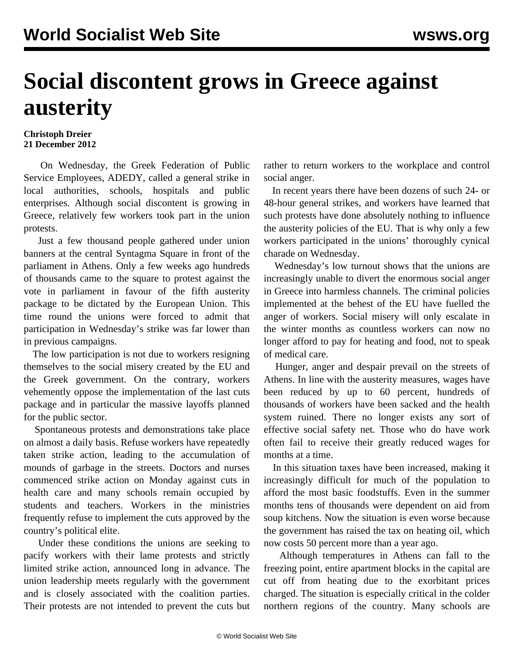## **Social discontent grows in Greece against austerity**

## **Christoph Dreier 21 December 2012**

 On Wednesday, the Greek Federation of Public Service Employees, ADEDY, called a general strike in local authorities, schools, hospitals and public enterprises. Although social discontent is growing in Greece, relatively few workers took part in the union protests.

 Just a few thousand people gathered under union banners at the central Syntagma Square in front of the parliament in Athens. Only a few weeks ago hundreds of thousands came to the square to protest against the vote in parliament in favour of the fifth austerity package to be dictated by the European Union. This time round the unions were forced to admit that participation in Wednesday's strike was far lower than in previous campaigns.

 The low participation is not due to workers resigning themselves to the social misery created by the EU and the Greek government. On the contrary, workers vehemently oppose the implementation of the last cuts package and in particular the massive layoffs planned for the public sector.

 Spontaneous protests and demonstrations take place on almost a daily basis. Refuse workers have repeatedly taken strike action, leading to the accumulation of mounds of garbage in the streets. Doctors and nurses commenced strike action on Monday against cuts in health care and many schools remain occupied by students and teachers. Workers in the ministries frequently refuse to implement the cuts approved by the country's political elite.

 Under these conditions the unions are seeking to pacify workers with their lame protests and strictly limited strike action, announced long in advance. The union leadership meets regularly with the government and is closely associated with the coalition parties. Their protests are not intended to prevent the cuts but

rather to return workers to the workplace and control social anger.

 In recent years there have been dozens of such 24- or 48-hour general strikes, and workers have learned that such protests have done absolutely nothing to influence the austerity policies of the EU. That is why only a few workers participated in the unions' thoroughly cynical charade on Wednesday.

 Wednesday's low turnout shows that the unions are increasingly unable to divert the enormous social anger in Greece into harmless channels. The criminal policies implemented at the behest of the EU have fuelled the anger of workers. Social misery will only escalate in the winter months as countless workers can now no longer afford to pay for heating and food, not to speak of medical care.

 Hunger, anger and despair prevail on the streets of Athens. In line with the austerity measures, wages have been reduced by up to 60 percent, hundreds of thousands of workers have been sacked and the health system ruined. There no longer exists any sort of effective social safety net. Those who do have work often fail to receive their greatly reduced wages for months at a time.

 In this situation taxes have been increased, making it increasingly difficult for much of the population to afford the most basic foodstuffs. Even in the summer months tens of thousands were dependent on aid from soup kitchens. Now the situation is even worse because the government has raised the tax on heating oil, which now costs 50 percent more than a year ago.

 Although temperatures in Athens can fall to the freezing point, entire apartment blocks in the capital are cut off from heating due to the exorbitant prices charged. The situation is especially critical in the colder northern regions of the country. Many schools are